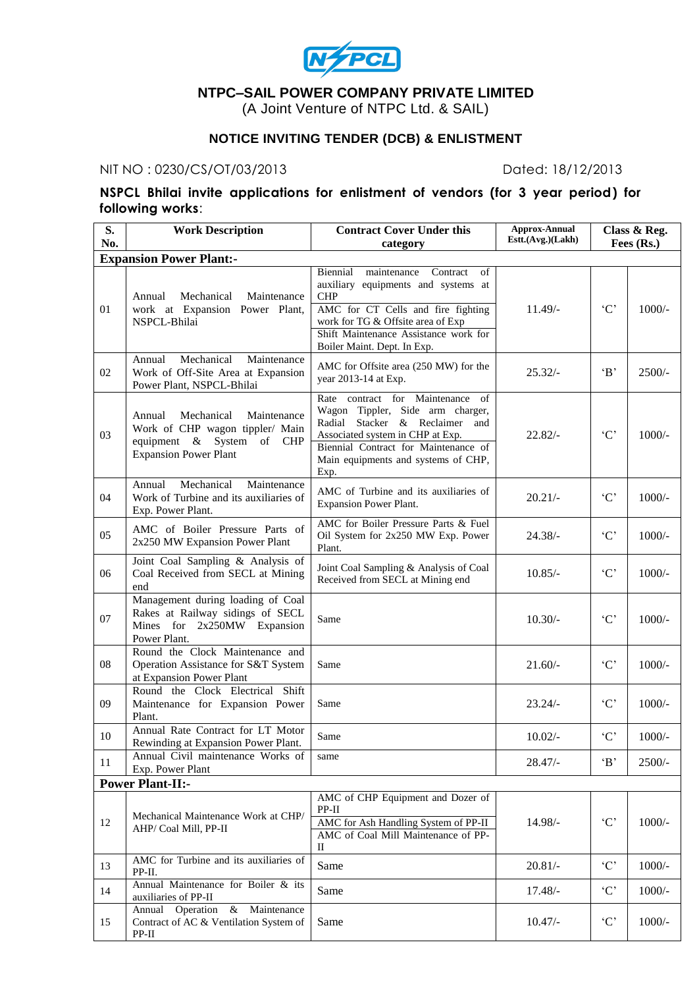

# **NTPC–SAIL POWER COMPANY PRIVATE LIMITED**

(A Joint Venture of NTPC Ltd. & SAIL)

# **NOTICE INVITING TENDER (DCB) & ENLISTMENT**

#### NIT NO : 0230/CS/OT/03/2013 Dated: 18/12/2013

## **NSPCL Bhilai invite applications for enlistment of vendors (for 3 year period) for following works**:

| S.  | <b>Work Description</b>                                                                                                             | <b>Contract Cover Under this</b>                                                                                                                                                         | <b>Approx-Annual</b><br>Estt.(Avg.)(Lakh) |                     | Class & Reg. |
|-----|-------------------------------------------------------------------------------------------------------------------------------------|------------------------------------------------------------------------------------------------------------------------------------------------------------------------------------------|-------------------------------------------|---------------------|--------------|
| No. |                                                                                                                                     | category                                                                                                                                                                                 |                                           |                     | Fees (Rs.)   |
|     | <b>Expansion Power Plant:-</b>                                                                                                      | Biennial<br>maintenance<br>Contract<br>of                                                                                                                                                |                                           |                     |              |
| 01  | Mechanical<br>Maintenance<br>Annual<br>work at Expansion Power Plant,                                                               | auxiliary equipments and systems at<br><b>CHP</b><br>AMC for CT Cells and fire fighting                                                                                                  | $11.49/-$                                 | $\cdot$ C'          | $1000/-$     |
|     | NSPCL-Bhilai                                                                                                                        | work for TG & Offsite area of Exp<br>Shift Maintenance Assistance work for<br>Boiler Maint. Dept. In Exp.                                                                                |                                           |                     |              |
| 02  | Mechanical<br>Maintenance<br>Annual<br>Work of Off-Site Area at Expansion<br>Power Plant, NSPCL-Bhilai                              | AMC for Offsite area (250 MW) for the<br>year 2013-14 at Exp.                                                                                                                            | $25.32/-$                                 | $\mathbf{B}$        | $2500/-$     |
| 03  | Mechanical<br>Maintenance<br>Annual<br>Work of CHP wagon tippler/ Main<br>equipment & System of CHP<br><b>Expansion Power Plant</b> | Rate contract for Maintenance of<br>Wagon Tippler, Side arm charger,<br>Radial<br>Stacker & Reclaimer<br>and<br>Associated system in CHP at Exp.<br>Biennial Contract for Maintenance of | $22.82/-$                                 | $`C`$               | $1000/-$     |
|     |                                                                                                                                     | Main equipments and systems of CHP,<br>Exp.                                                                                                                                              |                                           |                     |              |
| 04  | Mechanical<br>Maintenance<br>Annual<br>Work of Turbine and its auxiliaries of<br>Exp. Power Plant.                                  | AMC of Turbine and its auxiliaries of<br><b>Expansion Power Plant.</b>                                                                                                                   | $20.21/-$                                 | $\cdot$ C'          | $1000/-$     |
| 05  | AMC of Boiler Pressure Parts of<br>2x250 MW Expansion Power Plant                                                                   | AMC for Boiler Pressure Parts & Fuel<br>Oil System for 2x250 MW Exp. Power<br>Plant.                                                                                                     | $24.38/-$                                 | $\lq C$             | $1000/-$     |
| 06  | Joint Coal Sampling & Analysis of<br>Coal Received from SECL at Mining<br>end                                                       | Joint Coal Sampling & Analysis of Coal<br>Received from SECL at Mining end                                                                                                               | $10.85/-$                                 | $\cdot$ C'          | $1000/-$     |
| 07  | Management during loading of Coal<br>Rakes at Railway sidings of SECL<br>Mines for 2x250MW Expansion<br>Power Plant.                | Same                                                                                                                                                                                     | $10.30/-$                                 | C                   | $1000/-$     |
| 08  | Round the Clock Maintenance and<br>Operation Assistance for S&T System<br>at Expansion Power Plant                                  | Same                                                                                                                                                                                     | $21.60/-$                                 | $\mathcal{C}$       | $1000/-$     |
| 09  | Round the Clock Electrical Shift<br>Maintenance for Expansion Power<br>Plant.                                                       | Same                                                                                                                                                                                     | $23.24/-$                                 | $^\cdot C^\cdot$    | $1000/-$     |
| 10  | Annual Rate Contract for LT Motor<br>Rewinding at Expansion Power Plant.                                                            | Same                                                                                                                                                                                     | $10.02/-$                                 | $\lq C$             | $1000/-$     |
| 11  | Annual Civil maintenance Works of<br>Exp. Power Plant                                                                               | same                                                                                                                                                                                     | $28.47/-$                                 | $\cdot_{\rm B},$    | 2500/-       |
|     | <b>Power Plant-II:-</b>                                                                                                             |                                                                                                                                                                                          |                                           |                     |              |
| 12  | Mechanical Maintenance Work at CHP/<br>AHP/ Coal Mill, PP-II                                                                        | AMC of CHP Equipment and Dozer of<br>$PP-II$<br>AMC for Ash Handling System of PP-II<br>AMC of Coal Mill Maintenance of PP-                                                              | 14.98/-                                   | $^{\cdot}C^{\cdot}$ | $1000/-$     |
|     |                                                                                                                                     | $_{\rm II}$                                                                                                                                                                              |                                           |                     |              |
| 13  | AMC for Turbine and its auxiliaries of<br>PP-II.                                                                                    | Same                                                                                                                                                                                     | $20.81/-$                                 | $\cdot$ C'          | $1000/-$     |
| 14  | Annual Maintenance for Boiler & its<br>auxiliaries of PP-II                                                                         | Same                                                                                                                                                                                     | $17.48/-$                                 | $\lq C$             | $1000/-$     |
| 15  | Operation<br>& Maintenance<br>Annual<br>Contract of AC & Ventilation System of<br>$PP-II$                                           | Same                                                                                                                                                                                     | $10.47/-$                                 | $\lq C$             | $1000/-$     |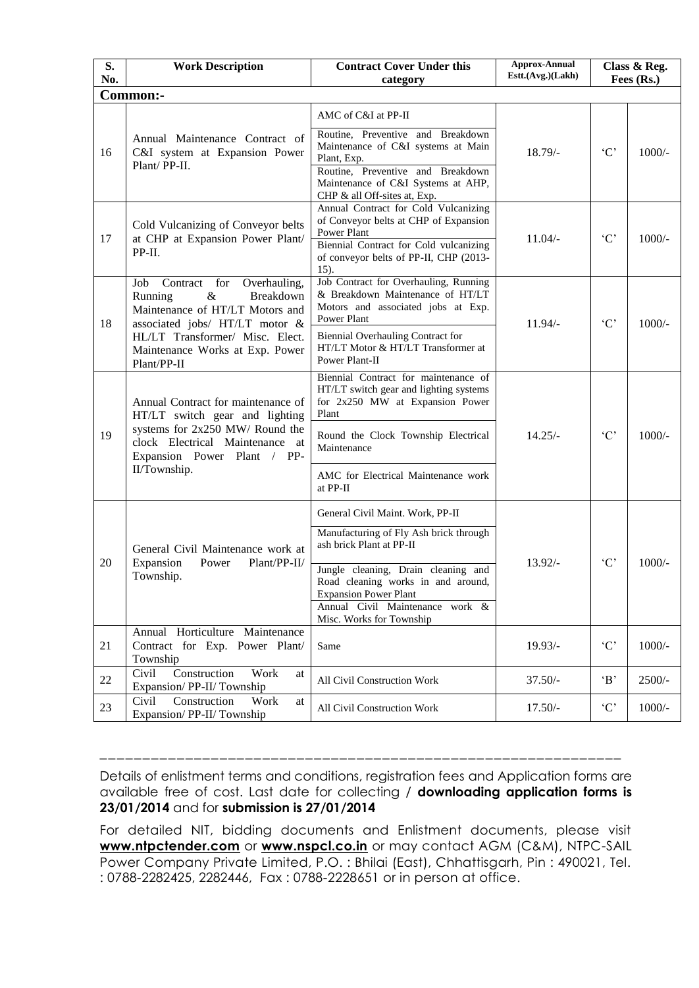| S.<br>No. | <b>Work Description</b>                                                                                                                  | <b>Contract Cover Under this</b><br>category                                                                                                                                                                                | <b>Approx-Annual</b><br>Estt.(Avg.)(Lakh) |                  | Class & Reg.<br>Fees (Rs.) |
|-----------|------------------------------------------------------------------------------------------------------------------------------------------|-----------------------------------------------------------------------------------------------------------------------------------------------------------------------------------------------------------------------------|-------------------------------------------|------------------|----------------------------|
|           | Common:-                                                                                                                                 |                                                                                                                                                                                                                             |                                           |                  |                            |
|           |                                                                                                                                          | AMC of C&I at PP-II                                                                                                                                                                                                         |                                           |                  |                            |
| 16        | Annual Maintenance Contract of<br>C&I system at Expansion Power<br>Plant/PP-II.                                                          | Routine. Preventive and Breakdown<br>Maintenance of C&I systems at Main<br>Plant, Exp.<br>Routine, Preventive and Breakdown<br>Maintenance of C&I Systems at AHP,                                                           | $18.79/-$                                 | $\cdot$ C'       | $1000/-$                   |
| 17        | Cold Vulcanizing of Conveyor belts<br>at CHP at Expansion Power Plant/<br>PP-II.                                                         | CHP & all Off-sites at, Exp.<br>Annual Contract for Cold Vulcanizing<br>of Conveyor belts at CHP of Expansion<br>Power Plant<br>Biennial Contract for Cold vulcanizing<br>of conveyor belts of PP-II, CHP (2013-<br>$15$ ). | $11.04/-$                                 | $\lq C$          | $1000/-$                   |
| 18        | Contract for<br>Overhauling,<br>Job<br>Running<br>$\&$<br>Breakdown<br>Maintenance of HT/LT Motors and<br>associated jobs/ HT/LT motor & | Job Contract for Overhauling, Running<br>& Breakdown Maintenance of HT/LT<br>Motors and associated jobs at Exp.<br>Power Plant                                                                                              | $11.94/-$                                 | $\lq C$          | $1000/-$                   |
|           | HL/LT Transformer/ Misc. Elect.<br>Maintenance Works at Exp. Power<br>Plant/PP-II                                                        | Biennial Overhauling Contract for<br>HT/LT Motor & HT/LT Transformer at<br>Power Plant-II                                                                                                                                   |                                           |                  |                            |
|           | Annual Contract for maintenance of<br>HT/LT switch gear and lighting                                                                     | Biennial Contract for maintenance of<br>HT/LT switch gear and lighting systems<br>for 2x250 MW at Expansion Power<br>Plant                                                                                                  |                                           |                  |                            |
| 19        | systems for 2x250 MW/ Round the<br>clock Electrical Maintenance at<br>Expansion Power Plant / PP-<br>II/Township.                        | Round the Clock Township Electrical<br>Maintenance                                                                                                                                                                          | $14.25/-$                                 | $^\cdot C^\cdot$ | $1000/-$                   |
|           |                                                                                                                                          | AMC for Electrical Maintenance work<br>at PP-II                                                                                                                                                                             |                                           |                  |                            |
|           |                                                                                                                                          | General Civil Maint. Work, PP-II                                                                                                                                                                                            |                                           |                  |                            |
|           | General Civil Maintenance work at                                                                                                        | Manufacturing of Fly Ash brick through<br>ash brick Plant at PP-II                                                                                                                                                          |                                           |                  |                            |
| 20        | Expansion<br>Plant/PP-II/<br>Power<br>Township.                                                                                          | Jungle cleaning, Drain cleaning and<br>Road cleaning works in and around,<br><b>Expansion Power Plant</b><br>Annual Civil Maintenance work &<br>Misc. Works for Township                                                    | $13.92/-$                                 | $\lq C$          | $1000/-$                   |
| 21        | Annual Horticulture Maintenance<br>Contract for Exp. Power Plant/<br>Township                                                            | Same                                                                                                                                                                                                                        | $19.93/-$                                 | $\lq C$          | $1000/-$                   |
| 22        | Civil<br>Construction<br>Work<br>at<br>Expansion/PP-II/Township                                                                          | All Civil Construction Work                                                                                                                                                                                                 | $37.50/-$                                 | B                | $2500/-$                   |
| 23        | Construction<br>Civil<br>Work<br>at<br>Expansion/PP-II/Township                                                                          | All Civil Construction Work                                                                                                                                                                                                 | $17.50/-$                                 | $\lq C$          | $1000/-$                   |

Details of enlistment terms and conditions, registration fees and Application forms are available free of cost. Last date for collecting / **downloading application forms is 23/01/2014** and for **submission is 27/01/2014**

\_\_\_\_\_\_\_\_\_\_\_\_\_\_\_\_\_\_\_\_\_\_\_\_\_\_\_\_\_\_\_\_\_\_\_\_\_\_\_\_\_\_\_\_\_\_\_\_\_\_\_\_\_\_\_\_\_\_\_\_\_

For detailed NIT, bidding documents and Enlistment documents, please visit **www.ntpctender.com** or **[www.nspcl.co.in](http://www.nspcl.co.in/)** or may contact AGM (C&M), NTPC-SAIL Power Company Private Limited, P.O. : Bhilai (East), Chhattisgarh, Pin : 490021, Tel. : 0788-2282425, 2282446, Fax : 0788-2228651 or in person at office.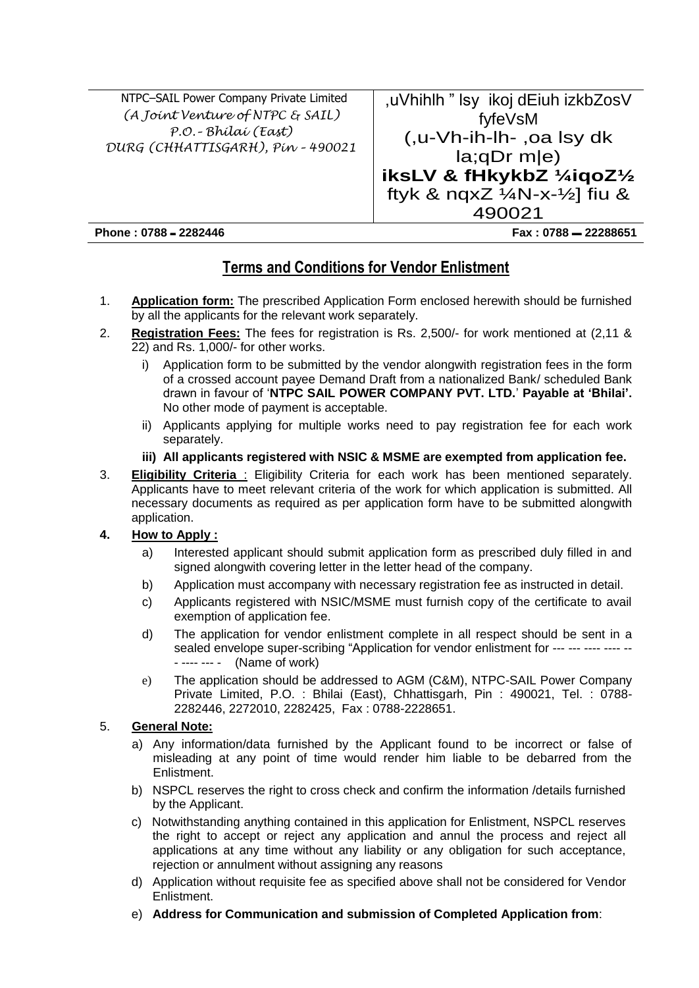| NTPC-SAIL Power Company Private Limited | ,uVhihlh " Isy ikoj dEiuh izkbZosV                 |
|-----------------------------------------|----------------------------------------------------|
| (A Joint Venture of NTPC & SAIL)        | fyfeVsM                                            |
| P.O. - Bhílaí (East)                    | (,u-Vh-ih-lh-, oa lsy dk                           |
| DURG (CHHATTISGARH), Pín - 490021       | $la; qDr$ m $ e\rangle$                            |
|                                         | iksLV & fHkykbZ 1/4iqoZ1/2                         |
|                                         | ftyk & nqxZ $\frac{1}{4}$ N-x- $\frac{1}{2}$ fiu & |
|                                         | 490021                                             |
| Phone: 0788 - 2282446                   | Fax: 0788 - 22288651                               |

# **Terms and Conditions for Vendor Enlistment**

- 1. **Application form:** The prescribed Application Form enclosed herewith should be furnished by all the applicants for the relevant work separately.
- 2. **Registration Fees:** The fees for registration is Rs. 2,500/- for work mentioned at (2,11 & 22) and Rs. 1,000/- for other works.
	- i) Application form to be submitted by the vendor alongwith registration fees in the form of a crossed account payee Demand Draft from a nationalized Bank/ scheduled Bank drawn in favour of '**NTPC SAIL POWER COMPANY PVT. LTD.**' **Payable at 'Bhilai'.** No other mode of payment is acceptable.
	- ii) Applicants applying for multiple works need to pay registration fee for each work separately.

#### **iii) All applicants registered with NSIC & MSME are exempted from application fee.**

3. **Eligibility Criteria** : Eligibility Criteria for each work has been mentioned separately. Applicants have to meet relevant criteria of the work for which application is submitted. All necessary documents as required as per application form have to be submitted alongwith application.

#### **4. How to Apply :**

- a) Interested applicant should submit application form as prescribed duly filled in and signed alongwith covering letter in the letter head of the company.
- b) Application must accompany with necessary registration fee as instructed in detail.
- c) Applicants registered with NSIC/MSME must furnish copy of the certificate to avail exemption of application fee.
- d) The application for vendor enlistment complete in all respect should be sent in a sealed envelope super-scribing "Application for vendor enlistment for --- --- ---- ---- -- - ---- --- - (Name of work)
- e) The application should be addressed to AGM (C&M), NTPC-SAIL Power Company Private Limited, P.O. : Bhilai (East), Chhattisgarh, Pin : 490021, Tel. : 0788- 2282446, 2272010, 2282425, Fax : 0788-2228651.

## 5. **General Note:**

- a) Any information/data furnished by the Applicant found to be incorrect or false of misleading at any point of time would render him liable to be debarred from the Enlistment.
- b) NSPCL reserves the right to cross check and confirm the information /details furnished by the Applicant.
- c) Notwithstanding anything contained in this application for Enlistment, NSPCL reserves the right to accept or reject any application and annul the process and reject all applications at any time without any liability or any obligation for such acceptance, rejection or annulment without assigning any reasons
- d) Application without requisite fee as specified above shall not be considered for Vendor Enlistment.
- e) **Address for Communication and submission of Completed Application from**: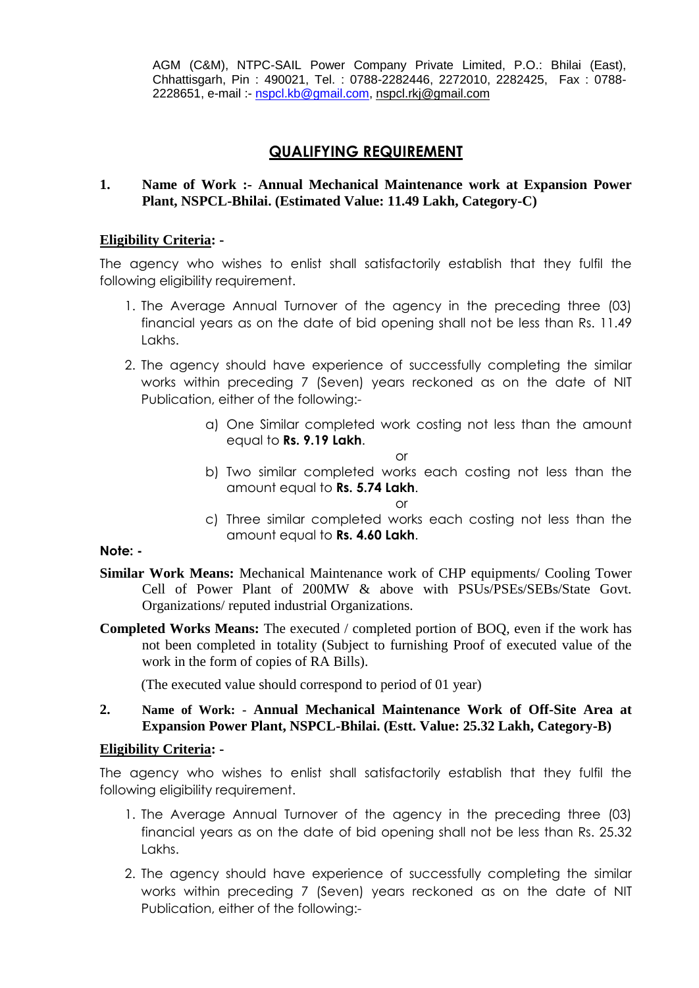AGM (C&M), NTPC-SAIL Power Company Private Limited, P.O.: Bhilai (East), Chhattisgarh, Pin : 490021, Tel. : 0788-2282446, 2272010, 2282425, Fax : 0788- 2228651, e-mail :- [nspcl.kb@gmail.com,](mailto:nspcl.kb@gmail.com) nspcl.rkj@gmail.com

## **QUALIFYING REQUIREMENT**

#### **1. Name of Work :- Annual Mechanical Maintenance work at Expansion Power Plant, NSPCL-Bhilai. (Estimated Value: 11.49 Lakh, Category-C)**

#### **Eligibility Criteria: -**

The agency who wishes to enlist shall satisfactorily establish that they fulfil the following eligibility requirement.

- 1. The Average Annual Turnover of the agency in the preceding three (03) financial years as on the date of bid opening shall not be less than Rs. 11.49 Lakhs.
- 2. The agency should have experience of successfully completing the similar works within preceding 7 (Seven) years reckoned as on the date of NIT Publication, either of the following:
	- a) One Similar completed work costing not less than the amount equal to **Rs. 9.19 Lakh**.

or

b) Two similar completed works each costing not less than the amount equal to **Rs. 5.74 Lakh**.

or

c) Three similar completed works each costing not less than the amount equal to **Rs. 4.60 Lakh**.

**Note: -**

- **Similar Work Means:** Mechanical Maintenance work of CHP equipments/ Cooling Tower Cell of Power Plant of 200MW & above with PSUs/PSEs/SEBs/State Govt. Organizations/ reputed industrial Organizations.
- **Completed Works Means:** The executed / completed portion of BOQ, even if the work has not been completed in totality (Subject to furnishing Proof of executed value of the work in the form of copies of RA Bills).

(The executed value should correspond to period of 01 year)

#### **2. Name of Work: - Annual Mechanical Maintenance Work of Off-Site Area at Expansion Power Plant, NSPCL-Bhilai. (Estt. Value: 25.32 Lakh, Category-B)**

## **Eligibility Criteria: -**

- 1. The Average Annual Turnover of the agency in the preceding three (03) financial years as on the date of bid opening shall not be less than Rs. 25.32 Lakhs.
- 2. The agency should have experience of successfully completing the similar works within preceding 7 (Seven) years reckoned as on the date of NIT Publication, either of the following:-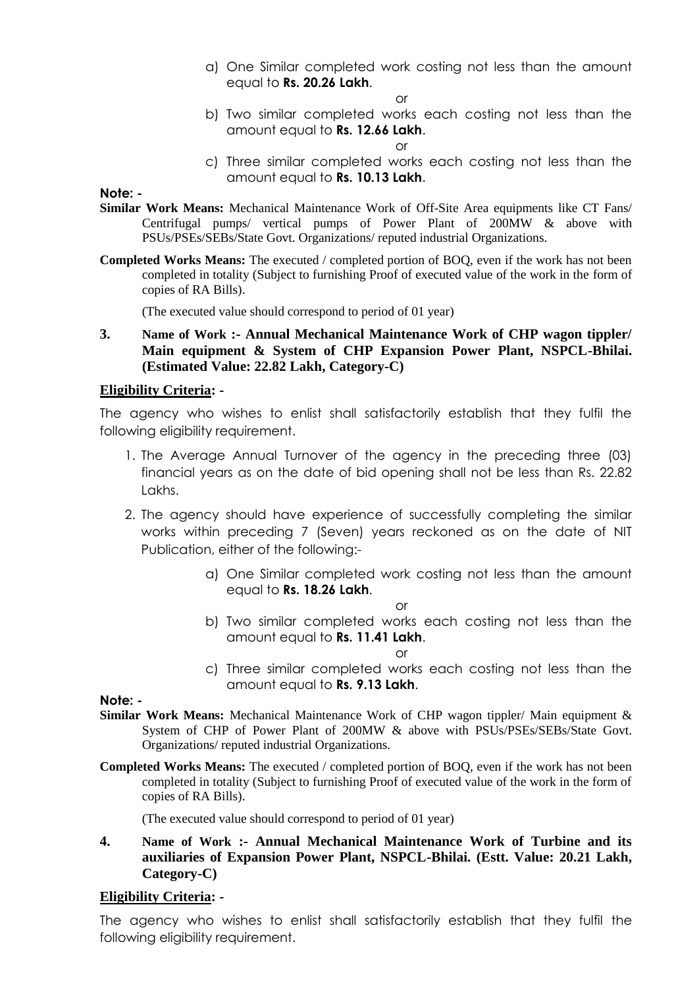a) One Similar completed work costing not less than the amount equal to **Rs. 20.26 Lakh**.

or

b) Two similar completed works each costing not less than the amount equal to **Rs. 12.66 Lakh**.

or

c) Three similar completed works each costing not less than the amount equal to **Rs. 10.13 Lakh**.

**Note: -**

- **Similar Work Means:** Mechanical Maintenance Work of Off-Site Area equipments like CT Fans/ Centrifugal pumps/ vertical pumps of Power Plant of 200MW & above with PSUs/PSEs/SEBs/State Govt. Organizations/ reputed industrial Organizations.
- **Completed Works Means:** The executed / completed portion of BOQ, even if the work has not been completed in totality (Subject to furnishing Proof of executed value of the work in the form of copies of RA Bills).

(The executed value should correspond to period of 01 year)

**3. Name of Work :- Annual Mechanical Maintenance Work of CHP wagon tippler/ Main equipment & System of CHP Expansion Power Plant, NSPCL-Bhilai. (Estimated Value: 22.82 Lakh, Category-C)**

#### **Eligibility Criteria: -**

The agency who wishes to enlist shall satisfactorily establish that they fulfil the following eligibility requirement.

- 1. The Average Annual Turnover of the agency in the preceding three (03) financial years as on the date of bid opening shall not be less than Rs. 22.82 Lakhs.
- 2. The agency should have experience of successfully completing the similar works within preceding 7 (Seven) years reckoned as on the date of NIT Publication, either of the following:
	- a) One Similar completed work costing not less than the amount equal to **Rs. 18.26 Lakh**.

or

b) Two similar completed works each costing not less than the amount equal to **Rs. 11.41 Lakh**.

or

c) Three similar completed works each costing not less than the amount equal to **Rs. 9.13 Lakh**.

**Note: -**

- **Similar Work Means:** Mechanical Maintenance Work of CHP wagon tippler/ Main equipment & System of CHP of Power Plant of 200MW & above with PSUs/PSEs/SEBs/State Govt. Organizations/ reputed industrial Organizations.
- **Completed Works Means:** The executed / completed portion of BOQ, even if the work has not been completed in totality (Subject to furnishing Proof of executed value of the work in the form of copies of RA Bills).

(The executed value should correspond to period of 01 year)

**4. Name of Work :- Annual Mechanical Maintenance Work of Turbine and its auxiliaries of Expansion Power Plant, NSPCL-Bhilai. (Estt. Value: 20.21 Lakh, Category-C)**

#### **Eligibility Criteria: -**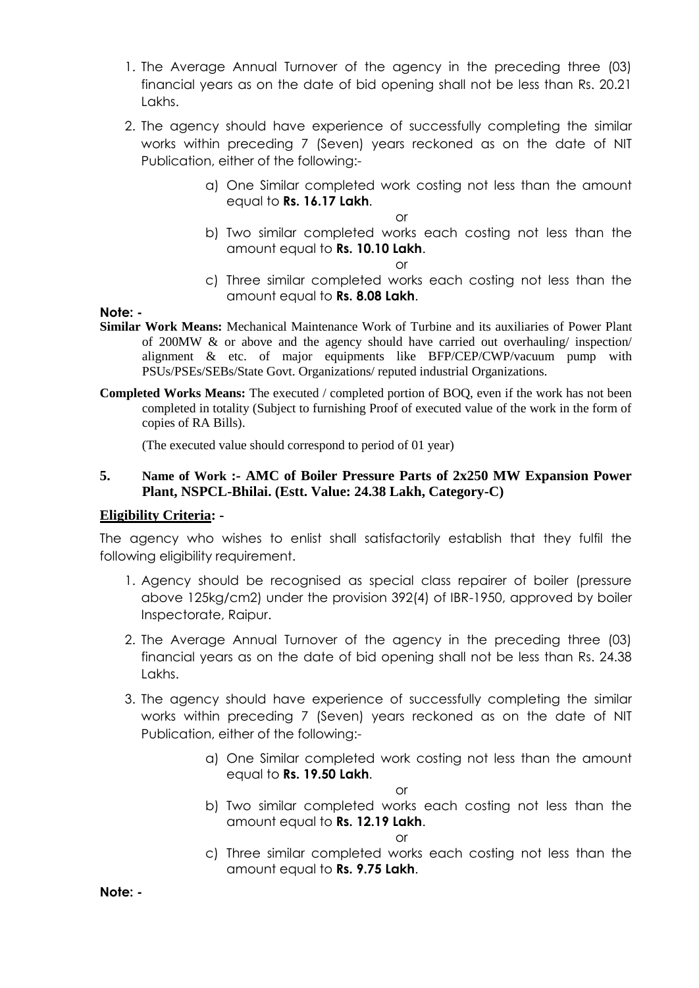- 1. The Average Annual Turnover of the agency in the preceding three (03) financial years as on the date of bid opening shall not be less than Rs. 20.21 Lakhs.
- 2. The agency should have experience of successfully completing the similar works within preceding 7 (Seven) years reckoned as on the date of NIT Publication, either of the following:
	- a) One Similar completed work costing not less than the amount equal to **Rs. 16.17 Lakh**.

b) Two similar completed works each costing not less than the amount equal to **Rs. 10.10 Lakh**.

or

c) Three similar completed works each costing not less than the amount equal to **Rs. 8.08 Lakh**.

**Note: -**

- **Similar Work Means:** Mechanical Maintenance Work of Turbine and its auxiliaries of Power Plant of 200MW & or above and the agency should have carried out overhauling/ inspection/ alignment & etc. of major equipments like BFP/CEP/CWP/vacuum pump with PSUs/PSEs/SEBs/State Govt. Organizations/ reputed industrial Organizations.
- **Completed Works Means:** The executed / completed portion of BOQ, even if the work has not been completed in totality (Subject to furnishing Proof of executed value of the work in the form of copies of RA Bills).

(The executed value should correspond to period of 01 year)

#### **5. Name of Work :- AMC of Boiler Pressure Parts of 2x250 MW Expansion Power Plant, NSPCL-Bhilai. (Estt. Value: 24.38 Lakh, Category-C)**

#### **Eligibility Criteria: -**

The agency who wishes to enlist shall satisfactorily establish that they fulfil the following eligibility requirement.

- 1. Agency should be recognised as special class repairer of boiler (pressure above 125kg/cm2) under the provision 392(4) of IBR-1950, approved by boiler Inspectorate, Raipur.
- 2. The Average Annual Turnover of the agency in the preceding three (03) financial years as on the date of bid opening shall not be less than Rs. 24.38 Lakhs.
- 3. The agency should have experience of successfully completing the similar works within preceding 7 (Seven) years reckoned as on the date of NIT Publication, either of the following:
	- a) One Similar completed work costing not less than the amount equal to **Rs. 19.50 Lakh**.

or

b) Two similar completed works each costing not less than the amount equal to **Rs. 12.19 Lakh**.

or

c) Three similar completed works each costing not less than the amount equal to **Rs. 9.75 Lakh**.

**Note: -**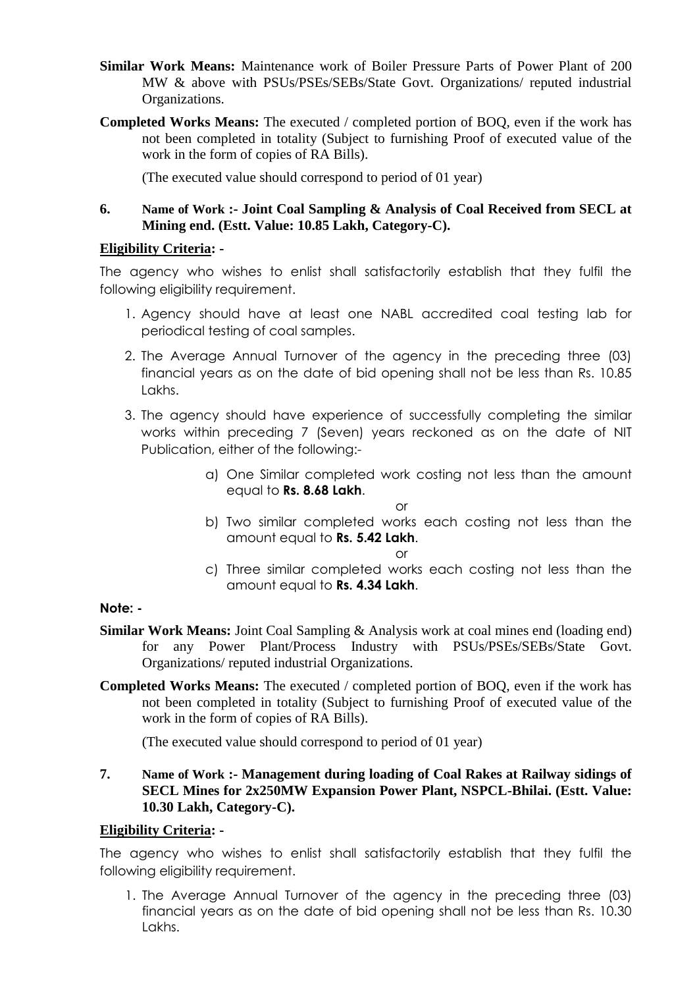- **Similar Work Means:** Maintenance work of Boiler Pressure Parts of Power Plant of 200 MW & above with PSUs/PSEs/SEBs/State Govt. Organizations/ reputed industrial Organizations.
- **Completed Works Means:** The executed / completed portion of BOQ, even if the work has not been completed in totality (Subject to furnishing Proof of executed value of the work in the form of copies of RA Bills).

(The executed value should correspond to period of 01 year)

#### **6. Name of Work :- Joint Coal Sampling & Analysis of Coal Received from SECL at Mining end. (Estt. Value: 10.85 Lakh, Category-C).**

#### **Eligibility Criteria: -**

The agency who wishes to enlist shall satisfactorily establish that they fulfil the following eligibility requirement.

- 1. Agency should have at least one NABL accredited coal testing lab for periodical testing of coal samples.
- 2. The Average Annual Turnover of the agency in the preceding three (03) financial years as on the date of bid opening shall not be less than Rs. 10.85 Lakhs.
- 3. The agency should have experience of successfully completing the similar works within preceding 7 (Seven) years reckoned as on the date of NIT Publication, either of the following:
	- a) One Similar completed work costing not less than the amount equal to **Rs. 8.68 Lakh**.
		- or
	- b) Two similar completed works each costing not less than the amount equal to **Rs. 5.42 Lakh**.

or

c) Three similar completed works each costing not less than the amount equal to **Rs. 4.34 Lakh**.

## **Note: -**

- **Similar Work Means:** Joint Coal Sampling & Analysis work at coal mines end (loading end) for any Power Plant/Process Industry with PSUs/PSEs/SEBs/State Govt. Organizations/ reputed industrial Organizations.
- **Completed Works Means:** The executed / completed portion of BOQ, even if the work has not been completed in totality (Subject to furnishing Proof of executed value of the work in the form of copies of RA Bills).

(The executed value should correspond to period of 01 year)

**7. Name of Work :- Management during loading of Coal Rakes at Railway sidings of SECL Mines for 2x250MW Expansion Power Plant, NSPCL-Bhilai. (Estt. Value: 10.30 Lakh, Category-C).**

## **Eligibility Criteria: -**

The agency who wishes to enlist shall satisfactorily establish that they fulfil the following eligibility requirement.

1. The Average Annual Turnover of the agency in the preceding three (03) financial years as on the date of bid opening shall not be less than Rs. 10.30 Lakhs.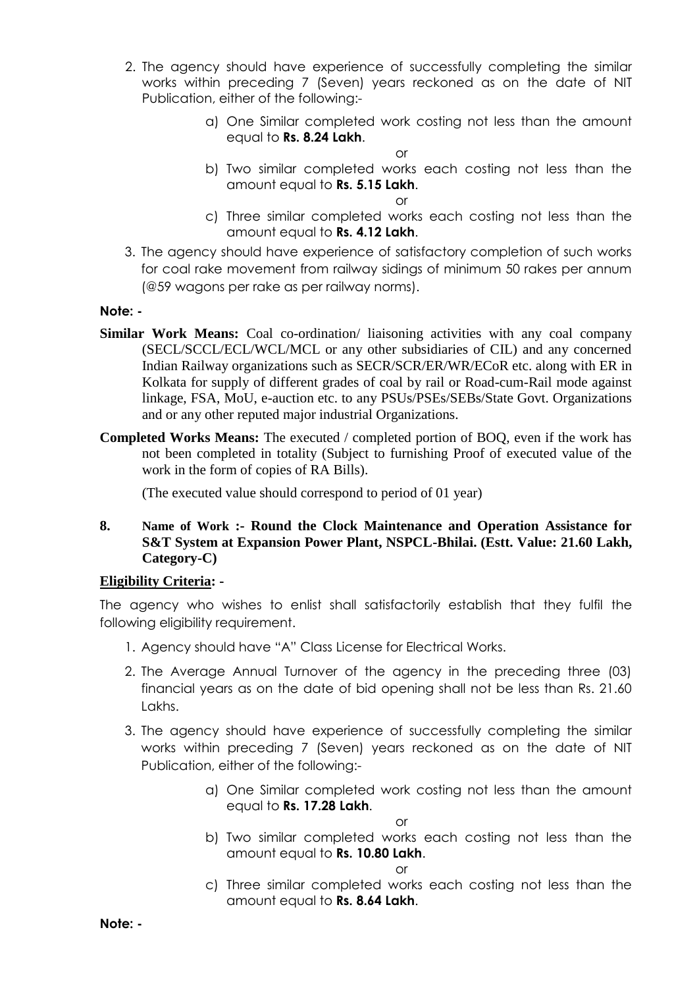- 2. The agency should have experience of successfully completing the similar works within preceding 7 (Seven) years reckoned as on the date of NIT Publication, either of the following:
	- a) One Similar completed work costing not less than the amount equal to **Rs. 8.24 Lakh**.

b) Two similar completed works each costing not less than the amount equal to **Rs. 5.15 Lakh**.

or

- c) Three similar completed works each costing not less than the amount equal to **Rs. 4.12 Lakh**.
- 3. The agency should have experience of satisfactory completion of such works for coal rake movement from railway sidings of minimum 50 rakes per annum (@59 wagons per rake as per railway norms).

## **Note: -**

- **Similar Work Means:** Coal co-ordination/ liaisoning activities with any coal company (SECL/SCCL/ECL/WCL/MCL or any other subsidiaries of CIL) and any concerned Indian Railway organizations such as SECR/SCR/ER/WR/ECoR etc. along with ER in Kolkata for supply of different grades of coal by rail or Road-cum-Rail mode against linkage, FSA, MoU, e-auction etc. to any PSUs/PSEs/SEBs/State Govt. Organizations and or any other reputed major industrial Organizations.
- **Completed Works Means:** The executed / completed portion of BOQ, even if the work has not been completed in totality (Subject to furnishing Proof of executed value of the work in the form of copies of RA Bills).

(The executed value should correspond to period of 01 year)

**8. Name of Work :- Round the Clock Maintenance and Operation Assistance for S&T System at Expansion Power Plant, NSPCL-Bhilai. (Estt. Value: 21.60 Lakh, Category-C)**

## **Eligibility Criteria: -**

The agency who wishes to enlist shall satisfactorily establish that they fulfil the following eligibility requirement.

- 1. Agency should have "A" Class License for Electrical Works.
- 2. The Average Annual Turnover of the agency in the preceding three (03) financial years as on the date of bid opening shall not be less than Rs. 21.60 Lakhs.
- 3. The agency should have experience of successfully completing the similar works within preceding 7 (Seven) years reckoned as on the date of NIT Publication, either of the following:
	- a) One Similar completed work costing not less than the amount equal to **Rs. 17.28 Lakh**.

or

b) Two similar completed works each costing not less than the amount equal to **Rs. 10.80 Lakh**.

or

c) Three similar completed works each costing not less than the amount equal to **Rs. 8.64 Lakh**.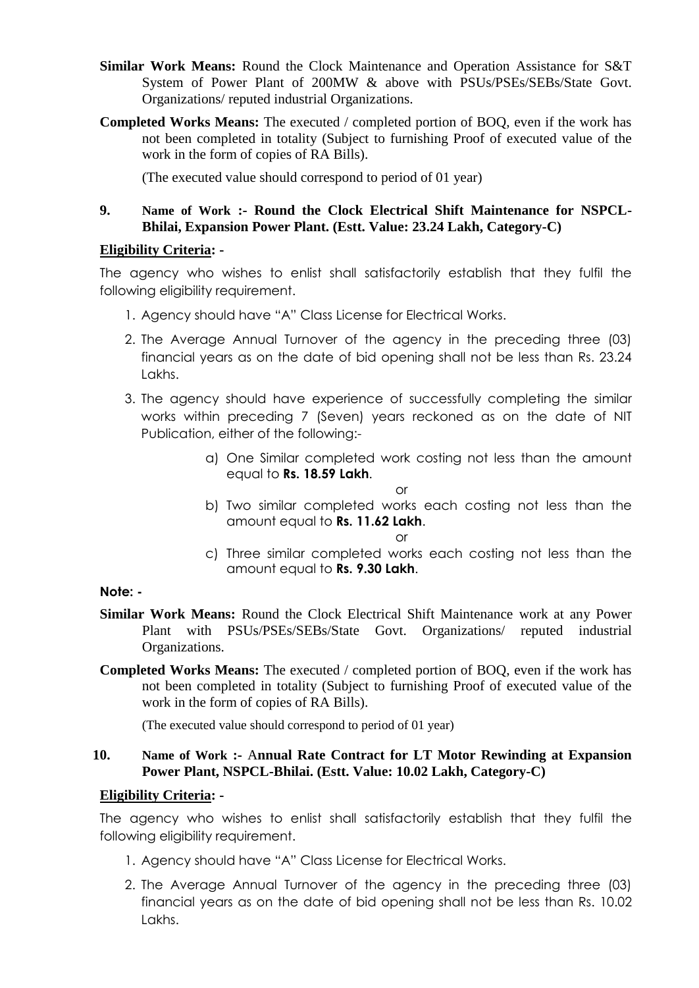- **Similar Work Means:** Round the Clock Maintenance and Operation Assistance for S&T System of Power Plant of 200MW & above with PSUs/PSEs/SEBs/State Govt. Organizations/ reputed industrial Organizations.
- **Completed Works Means:** The executed / completed portion of BOQ, even if the work has not been completed in totality (Subject to furnishing Proof of executed value of the work in the form of copies of RA Bills).

(The executed value should correspond to period of 01 year)

#### **9. Name of Work :- Round the Clock Electrical Shift Maintenance for NSPCL-Bhilai, Expansion Power Plant. (Estt. Value: 23.24 Lakh, Category-C)**

#### **Eligibility Criteria: -**

The agency who wishes to enlist shall satisfactorily establish that they fulfil the following eligibility requirement.

- 1. Agency should have "A" Class License for Electrical Works.
- 2. The Average Annual Turnover of the agency in the preceding three (03) financial years as on the date of bid opening shall not be less than Rs. 23.24 Lakhs.
- 3. The agency should have experience of successfully completing the similar works within preceding 7 (Seven) years reckoned as on the date of NIT Publication, either of the following:
	- a) One Similar completed work costing not less than the amount equal to **Rs. 18.59 Lakh**.

or

b) Two similar completed works each costing not less than the amount equal to **Rs. 11.62 Lakh**.

or

c) Three similar completed works each costing not less than the amount equal to **Rs. 9.30 Lakh**.

#### **Note: -**

- **Similar Work Means:** Round the Clock Electrical Shift Maintenance work at any Power Plant with PSUs/PSEs/SEBs/State Govt. Organizations/ reputed industrial Organizations.
- **Completed Works Means:** The executed / completed portion of BOQ, even if the work has not been completed in totality (Subject to furnishing Proof of executed value of the work in the form of copies of RA Bills).

(The executed value should correspond to period of 01 year)

#### **10. Name of Work :-** A**nnual Rate Contract for LT Motor Rewinding at Expansion Power Plant, NSPCL-Bhilai. (Estt. Value: 10.02 Lakh, Category-C)**

#### **Eligibility Criteria: -**

- 1. Agency should have "A" Class License for Electrical Works.
- 2. The Average Annual Turnover of the agency in the preceding three (03) financial years as on the date of bid opening shall not be less than Rs. 10.02 Lakhs.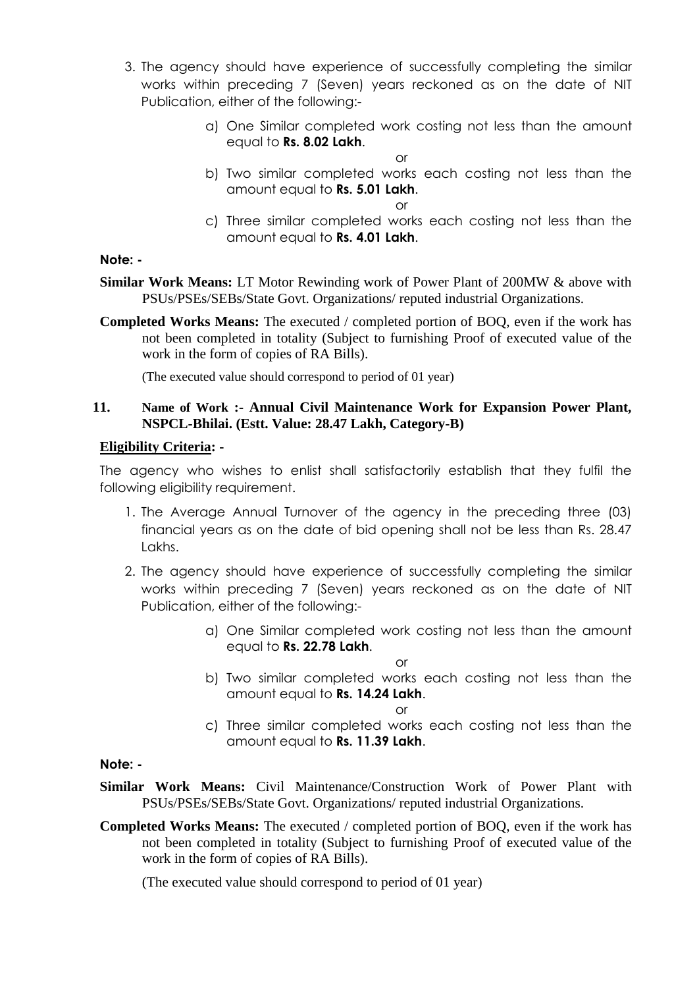- 3. The agency should have experience of successfully completing the similar works within preceding 7 (Seven) years reckoned as on the date of NIT Publication, either of the following:
	- a) One Similar completed work costing not less than the amount equal to **Rs. 8.02 Lakh**.
	- b) Two similar completed works each costing not less than the amount equal to **Rs. 5.01 Lakh**.

or

c) Three similar completed works each costing not less than the amount equal to **Rs. 4.01 Lakh**.

#### **Note: -**

**Similar Work Means:** LT Motor Rewinding work of Power Plant of 200MW & above with PSUs/PSEs/SEBs/State Govt. Organizations/ reputed industrial Organizations.

**Completed Works Means:** The executed / completed portion of BOQ, even if the work has not been completed in totality (Subject to furnishing Proof of executed value of the work in the form of copies of RA Bills).

(The executed value should correspond to period of 01 year)

## **11. Name of Work :- Annual Civil Maintenance Work for Expansion Power Plant, NSPCL-Bhilai. (Estt. Value: 28.47 Lakh, Category-B)**

#### **Eligibility Criteria: -**

The agency who wishes to enlist shall satisfactorily establish that they fulfil the following eligibility requirement.

- 1. The Average Annual Turnover of the agency in the preceding three (03) financial years as on the date of bid opening shall not be less than Rs. 28.47 Lakhs.
- 2. The agency should have experience of successfully completing the similar works within preceding 7 (Seven) years reckoned as on the date of NIT Publication, either of the following:
	- a) One Similar completed work costing not less than the amount equal to **Rs. 22.78 Lakh**.

or

b) Two similar completed works each costing not less than the amount equal to **Rs. 14.24 Lakh**.

 $\bigcap$ 

c) Three similar completed works each costing not less than the amount equal to **Rs. 11.39 Lakh**.

#### **Note: -**

- **Similar Work Means:** Civil Maintenance/Construction Work of Power Plant with PSUs/PSEs/SEBs/State Govt. Organizations/ reputed industrial Organizations.
- **Completed Works Means:** The executed / completed portion of BOQ, even if the work has not been completed in totality (Subject to furnishing Proof of executed value of the work in the form of copies of RA Bills).

(The executed value should correspond to period of 01 year)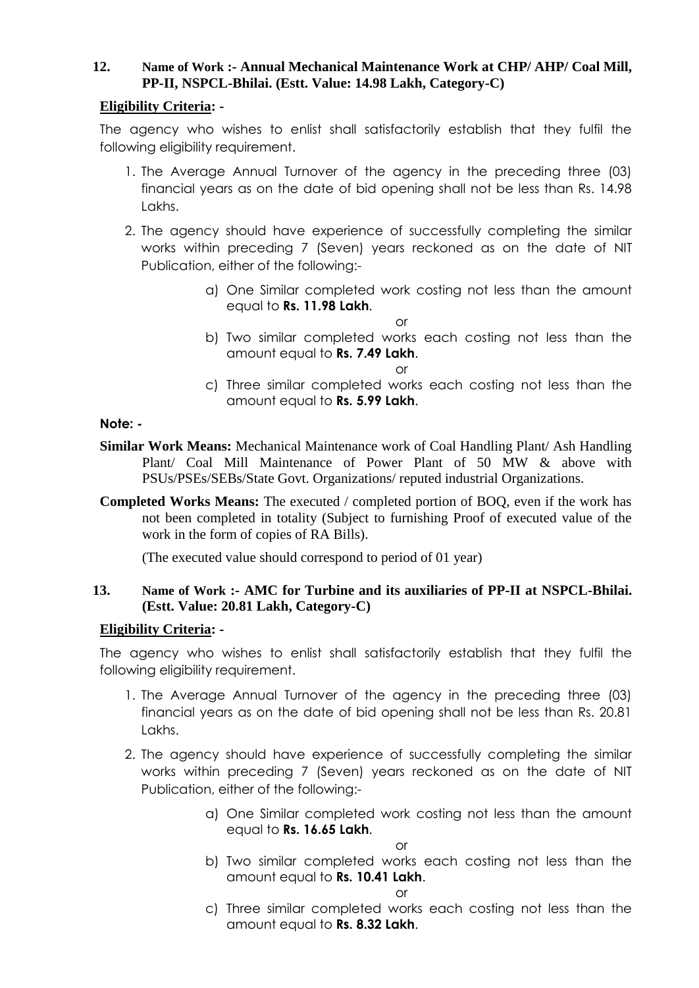## **12. Name of Work :- Annual Mechanical Maintenance Work at CHP/ AHP/ Coal Mill, PP-II, NSPCL-Bhilai. (Estt. Value: 14.98 Lakh, Category-C)**

## **Eligibility Criteria: -**

The agency who wishes to enlist shall satisfactorily establish that they fulfil the following eligibility requirement.

- 1. The Average Annual Turnover of the agency in the preceding three (03) financial years as on the date of bid opening shall not be less than Rs. 14.98 Lakhs.
- 2. The agency should have experience of successfully completing the similar works within preceding 7 (Seven) years reckoned as on the date of NIT Publication, either of the following:
	- a) One Similar completed work costing not less than the amount equal to **Rs. 11.98 Lakh**.
	- b) Two similar completed works each costing not less than the amount equal to **Rs. 7.49 Lakh**.

or

or

c) Three similar completed works each costing not less than the amount equal to **Rs. 5.99 Lakh**.

## **Note: -**

- **Similar Work Means:** Mechanical Maintenance work of Coal Handling Plant/ Ash Handling Plant/ Coal Mill Maintenance of Power Plant of 50 MW & above with PSUs/PSEs/SEBs/State Govt. Organizations/ reputed industrial Organizations.
- **Completed Works Means:** The executed / completed portion of BOQ, even if the work has not been completed in totality (Subject to furnishing Proof of executed value of the work in the form of copies of RA Bills).

(The executed value should correspond to period of 01 year)

## **13. Name of Work :- AMC for Turbine and its auxiliaries of PP-II at NSPCL-Bhilai. (Estt. Value: 20.81 Lakh, Category-C)**

## **Eligibility Criteria: -**

The agency who wishes to enlist shall satisfactorily establish that they fulfil the following eligibility requirement.

- 1. The Average Annual Turnover of the agency in the preceding three (03) financial years as on the date of bid opening shall not be less than Rs. 20.81 Lakhs.
- 2. The agency should have experience of successfully completing the similar works within preceding 7 (Seven) years reckoned as on the date of NIT Publication, either of the following:
	- a) One Similar completed work costing not less than the amount equal to **Rs. 16.65 Lakh**.

or

b) Two similar completed works each costing not less than the amount equal to **Rs. 10.41 Lakh**.

or

c) Three similar completed works each costing not less than the amount equal to **Rs. 8.32 Lakh**.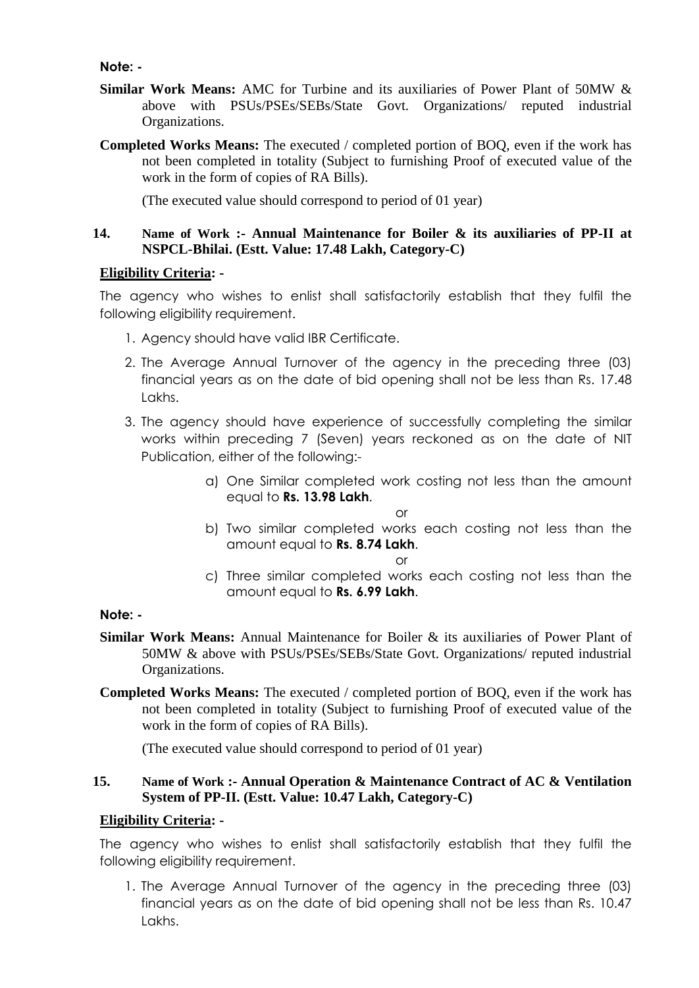**Note: -**

- **Similar Work Means:** AMC for Turbine and its auxiliaries of Power Plant of 50MW & above with PSUs/PSEs/SEBs/State Govt. Organizations/ reputed industrial Organizations.
- **Completed Works Means:** The executed / completed portion of BOQ, even if the work has not been completed in totality (Subject to furnishing Proof of executed value of the work in the form of copies of RA Bills).

(The executed value should correspond to period of 01 year)

## **14. Name of Work :- Annual Maintenance for Boiler & its auxiliaries of PP-II at NSPCL-Bhilai. (Estt. Value: 17.48 Lakh, Category-C)**

#### **Eligibility Criteria: -**

The agency who wishes to enlist shall satisfactorily establish that they fulfil the following eligibility requirement.

- 1. Agency should have valid IBR Certificate.
- 2. The Average Annual Turnover of the agency in the preceding three (03) financial years as on the date of bid opening shall not be less than Rs. 17.48 Lakhs.
- 3. The agency should have experience of successfully completing the similar works within preceding 7 (Seven) years reckoned as on the date of NIT Publication, either of the following:
	- a) One Similar completed work costing not less than the amount equal to **Rs. 13.98 Lakh**.

or

b) Two similar completed works each costing not less than the amount equal to **Rs. 8.74 Lakh**.

or

c) Three similar completed works each costing not less than the amount equal to **Rs. 6.99 Lakh**.

#### **Note: -**

- **Similar Work Means:** Annual Maintenance for Boiler & its auxiliaries of Power Plant of 50MW & above with PSUs/PSEs/SEBs/State Govt. Organizations/ reputed industrial Organizations.
- **Completed Works Means:** The executed / completed portion of BOQ, even if the work has not been completed in totality (Subject to furnishing Proof of executed value of the work in the form of copies of RA Bills).

(The executed value should correspond to period of 01 year)

## **15. Name of Work :- Annual Operation & Maintenance Contract of AC & Ventilation System of PP-II. (Estt. Value: 10.47 Lakh, Category-C)**

#### **Eligibility Criteria: -**

The agency who wishes to enlist shall satisfactorily establish that they fulfil the following eligibility requirement.

1. The Average Annual Turnover of the agency in the preceding three (03) financial years as on the date of bid opening shall not be less than Rs. 10.47 Lakhs.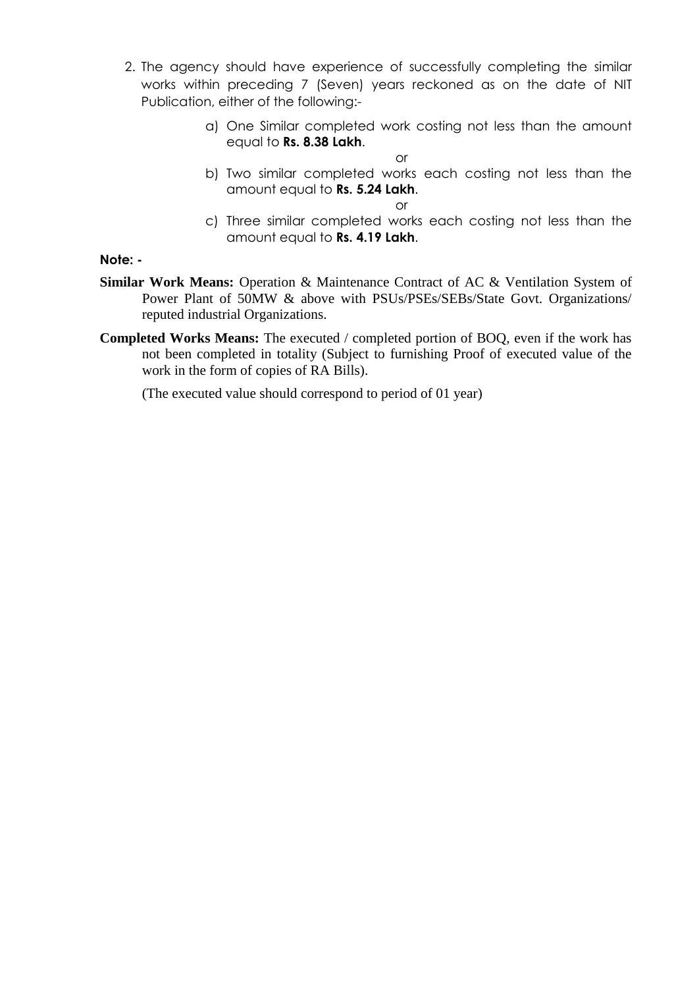- 2. The agency should have experience of successfully completing the similar works within preceding 7 (Seven) years reckoned as on the date of NIT Publication, either of the following:
	- a) One Similar completed work costing not less than the amount equal to **Rs. 8.38 Lakh**.
	- b) Two similar completed works each costing not less than the amount equal to **Rs. 5.24 Lakh**.

or

c) Three similar completed works each costing not less than the amount equal to **Rs. 4.19 Lakh**.

**Note: -**

- **Similar Work Means:** Operation & Maintenance Contract of AC & Ventilation System of Power Plant of 50MW & above with PSUs/PSEs/SEBs/State Govt. Organizations/ reputed industrial Organizations.
- **Completed Works Means:** The executed / completed portion of BOQ, even if the work has not been completed in totality (Subject to furnishing Proof of executed value of the work in the form of copies of RA Bills).

(The executed value should correspond to period of 01 year)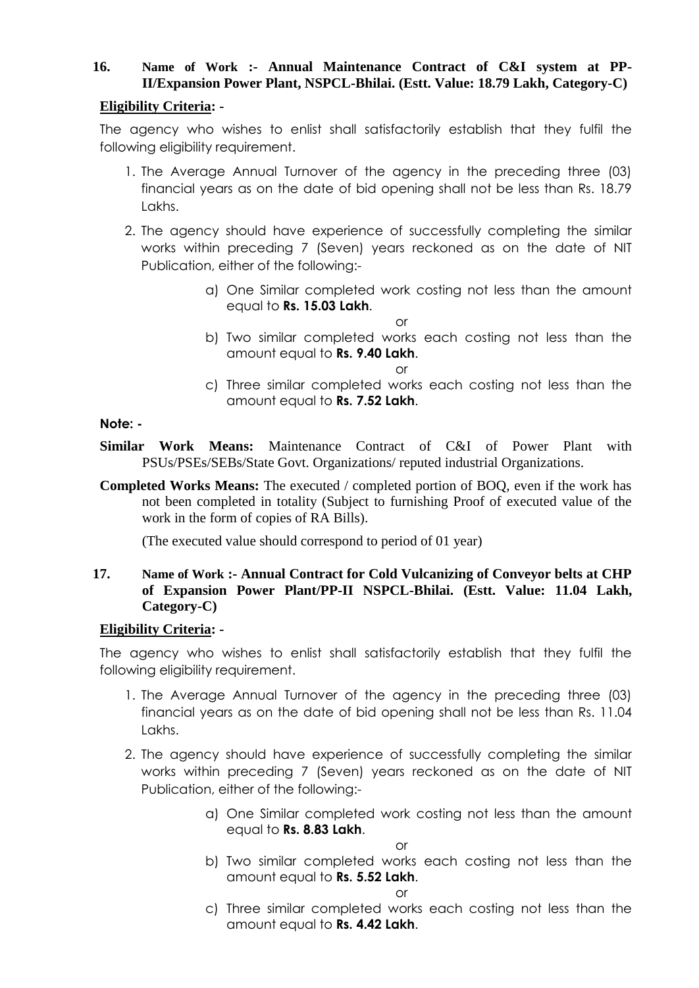## **16. Name of Work :- Annual Maintenance Contract of C&I system at PP-II/Expansion Power Plant, NSPCL-Bhilai. (Estt. Value: 18.79 Lakh, Category-C)**

## **Eligibility Criteria: -**

The agency who wishes to enlist shall satisfactorily establish that they fulfil the following eligibility requirement.

- 1. The Average Annual Turnover of the agency in the preceding three (03) financial years as on the date of bid opening shall not be less than Rs. 18.79 Lakhs.
- 2. The agency should have experience of successfully completing the similar works within preceding 7 (Seven) years reckoned as on the date of NIT Publication, either of the following:
	- a) One Similar completed work costing not less than the amount equal to **Rs. 15.03 Lakh**.
	- b) Two similar completed works each costing not less than the amount equal to **Rs. 9.40 Lakh**.

or

or

c) Three similar completed works each costing not less than the amount equal to **Rs. 7.52 Lakh**.

## **Note: -**

**Similar Work Means:** Maintenance Contract of C&I of Power Plant with PSUs/PSEs/SEBs/State Govt. Organizations/ reputed industrial Organizations.

**Completed Works Means:** The executed / completed portion of BOQ, even if the work has not been completed in totality (Subject to furnishing Proof of executed value of the work in the form of copies of RA Bills).

(The executed value should correspond to period of 01 year)

## **17. Name of Work :- Annual Contract for Cold Vulcanizing of Conveyor belts at CHP of Expansion Power Plant/PP-II NSPCL-Bhilai. (Estt. Value: 11.04 Lakh, Category-C)**

## **Eligibility Criteria: -**

The agency who wishes to enlist shall satisfactorily establish that they fulfil the following eligibility requirement.

- 1. The Average Annual Turnover of the agency in the preceding three (03) financial years as on the date of bid opening shall not be less than Rs. 11.04 Lakhs.
- 2. The agency should have experience of successfully completing the similar works within preceding 7 (Seven) years reckoned as on the date of NIT Publication, either of the following:
	- a) One Similar completed work costing not less than the amount equal to **Rs. 8.83 Lakh**.

or

b) Two similar completed works each costing not less than the amount equal to **Rs. 5.52 Lakh**.

or

c) Three similar completed works each costing not less than the amount equal to **Rs. 4.42 Lakh**.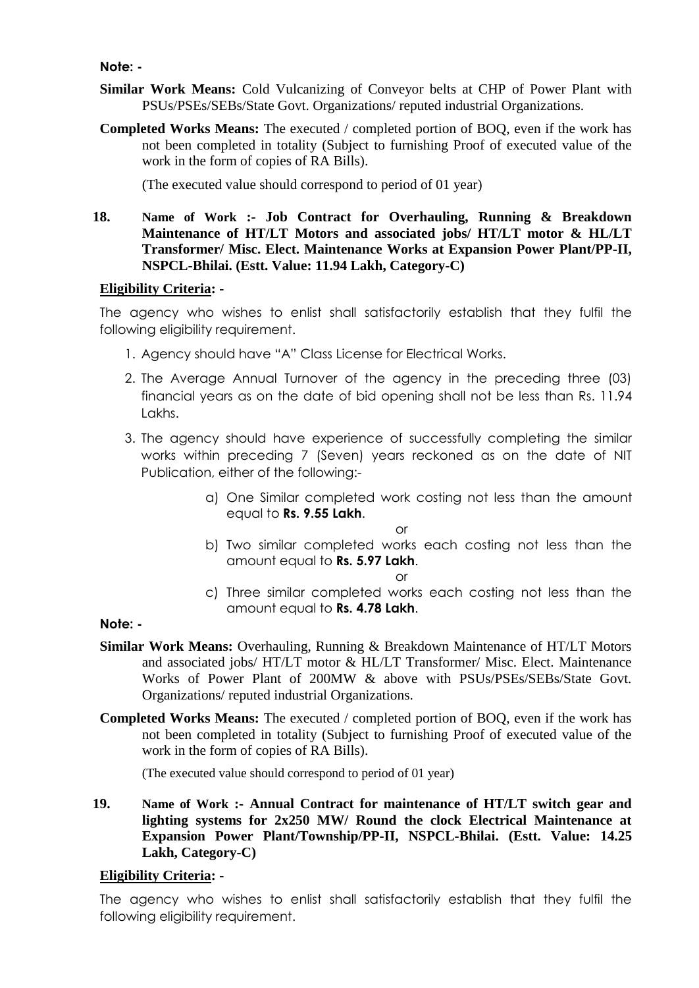#### **Note: -**

- **Similar Work Means:** Cold Vulcanizing of Conveyor belts at CHP of Power Plant with PSUs/PSEs/SEBs/State Govt. Organizations/ reputed industrial Organizations.
- **Completed Works Means:** The executed / completed portion of BOQ, even if the work has not been completed in totality (Subject to furnishing Proof of executed value of the work in the form of copies of RA Bills).

(The executed value should correspond to period of 01 year)

**18. Name of Work :- Job Contract for Overhauling, Running & Breakdown Maintenance of HT/LT Motors and associated jobs/ HT/LT motor & HL/LT Transformer/ Misc. Elect. Maintenance Works at Expansion Power Plant/PP-II, NSPCL-Bhilai. (Estt. Value: 11.94 Lakh, Category-C)**

#### **Eligibility Criteria: -**

The agency who wishes to enlist shall satisfactorily establish that they fulfil the following eligibility requirement.

- 1. Agency should have "A" Class License for Electrical Works.
- 2. The Average Annual Turnover of the agency in the preceding three (03) financial years as on the date of bid opening shall not be less than Rs. 11.94 Lakhs.
- 3. The agency should have experience of successfully completing the similar works within preceding 7 (Seven) years reckoned as on the date of NIT Publication, either of the following:
	- a) One Similar completed work costing not less than the amount equal to **Rs. 9.55 Lakh**.

or

b) Two similar completed works each costing not less than the amount equal to **Rs. 5.97 Lakh**.

or

c) Three similar completed works each costing not less than the amount equal to **Rs. 4.78 Lakh**.

## **Note: -**

- **Similar Work Means:** Overhauling, Running & Breakdown Maintenance of HT/LT Motors and associated jobs/ HT/LT motor & HL/LT Transformer/ Misc. Elect. Maintenance Works of Power Plant of 200MW & above with PSUs/PSEs/SEBs/State Govt. Organizations/ reputed industrial Organizations.
- **Completed Works Means:** The executed / completed portion of BOQ, even if the work has not been completed in totality (Subject to furnishing Proof of executed value of the work in the form of copies of RA Bills).

(The executed value should correspond to period of 01 year)

**19. Name of Work :- Annual Contract for maintenance of HT/LT switch gear and lighting systems for 2x250 MW/ Round the clock Electrical Maintenance at Expansion Power Plant/Township/PP-II, NSPCL-Bhilai. (Estt. Value: 14.25 Lakh, Category-C)**

## **Eligibility Criteria: -**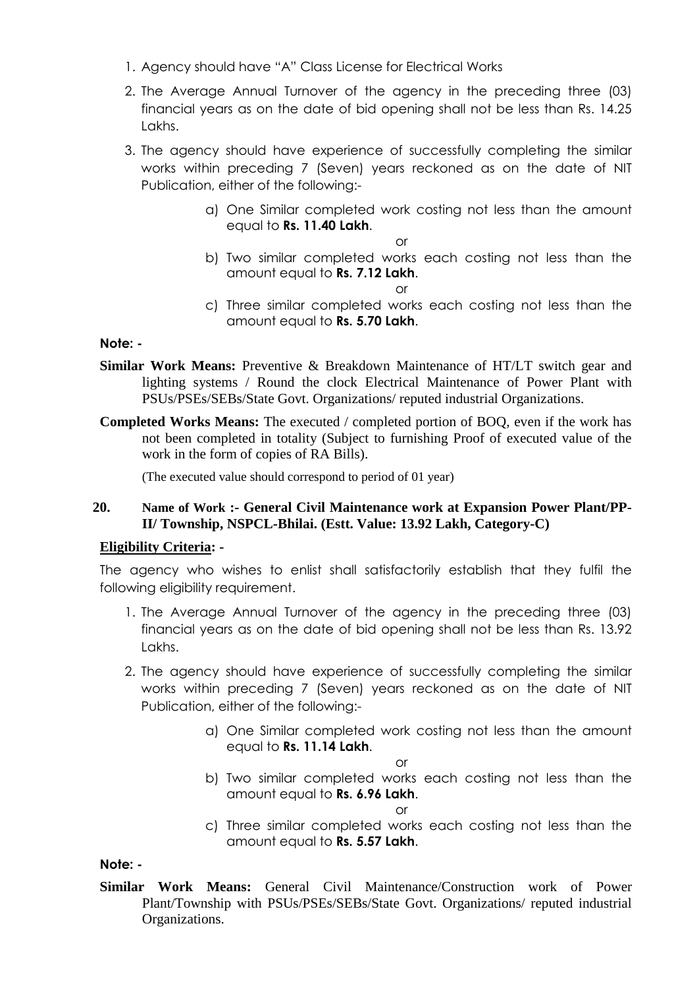- 1. Agency should have "A" Class License for Electrical Works
- 2. The Average Annual Turnover of the agency in the preceding three (03) financial years as on the date of bid opening shall not be less than Rs. 14.25 Lakhs.
- 3. The agency should have experience of successfully completing the similar works within preceding 7 (Seven) years reckoned as on the date of NIT Publication, either of the following:
	- a) One Similar completed work costing not less than the amount equal to **Rs. 11.40 Lakh**.

b) Two similar completed works each costing not less than the amount equal to **Rs. 7.12 Lakh**.

or

c) Three similar completed works each costing not less than the amount equal to **Rs. 5.70 Lakh**.

## **Note: -**

- **Similar Work Means:** Preventive & Breakdown Maintenance of HT/LT switch gear and lighting systems / Round the clock Electrical Maintenance of Power Plant with PSUs/PSEs/SEBs/State Govt. Organizations/ reputed industrial Organizations.
- **Completed Works Means:** The executed / completed portion of BOQ, even if the work has not been completed in totality (Subject to furnishing Proof of executed value of the work in the form of copies of RA Bills).

(The executed value should correspond to period of 01 year)

## **20. Name of Work :- General Civil Maintenance work at Expansion Power Plant/PP-II/ Township, NSPCL-Bhilai. (Estt. Value: 13.92 Lakh, Category-C)**

## **Eligibility Criteria: -**

The agency who wishes to enlist shall satisfactorily establish that they fulfil the following eligibility requirement.

- 1. The Average Annual Turnover of the agency in the preceding three (03) financial years as on the date of bid opening shall not be less than Rs. 13.92 Lakhs.
- 2. The agency should have experience of successfully completing the similar works within preceding 7 (Seven) years reckoned as on the date of NIT Publication, either of the following:
	- a) One Similar completed work costing not less than the amount equal to **Rs. 11.14 Lakh**.

or

b) Two similar completed works each costing not less than the amount equal to **Rs. 6.96 Lakh**.

or

c) Three similar completed works each costing not less than the amount equal to **Rs. 5.57 Lakh**.

## **Note: -**

**Similar Work Means:** General Civil Maintenance/Construction work of Power Plant/Township with PSUs/PSEs/SEBs/State Govt. Organizations/ reputed industrial Organizations.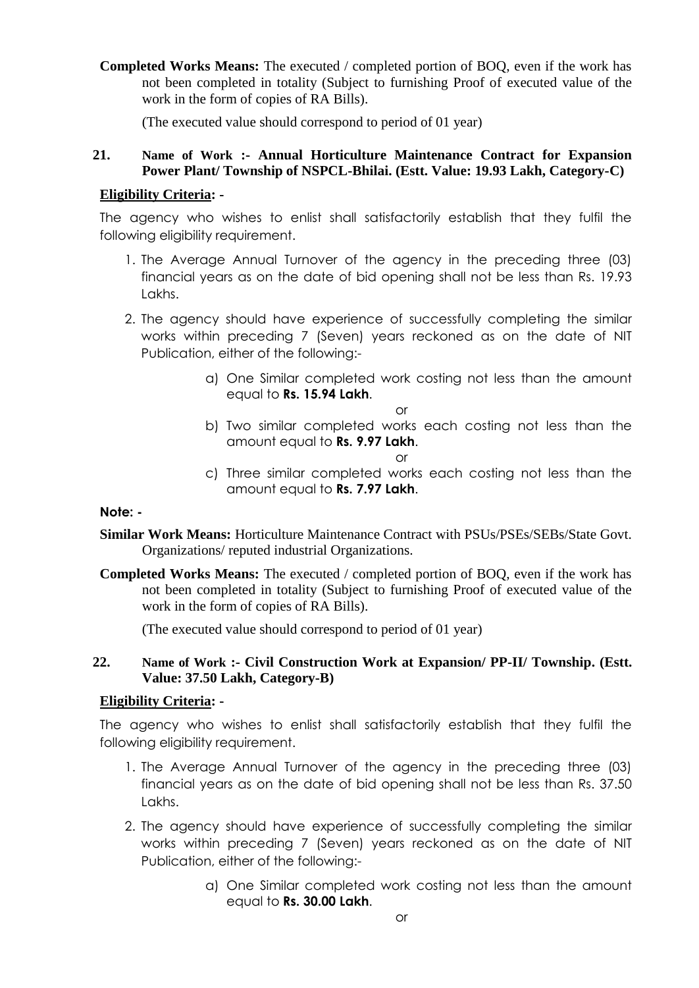**Completed Works Means:** The executed / completed portion of BOQ, even if the work has not been completed in totality (Subject to furnishing Proof of executed value of the work in the form of copies of RA Bills).

(The executed value should correspond to period of 01 year)

## **21. Name of Work :- Annual Horticulture Maintenance Contract for Expansion Power Plant/ Township of NSPCL-Bhilai. (Estt. Value: 19.93 Lakh, Category-C)**

## **Eligibility Criteria: -**

The agency who wishes to enlist shall satisfactorily establish that they fulfil the following eligibility requirement.

- 1. The Average Annual Turnover of the agency in the preceding three (03) financial years as on the date of bid opening shall not be less than Rs. 19.93 Lakhs.
- 2. The agency should have experience of successfully completing the similar works within preceding 7 (Seven) years reckoned as on the date of NIT Publication, either of the following:
	- a) One Similar completed work costing not less than the amount equal to **Rs. 15.94 Lakh**.

or

b) Two similar completed works each costing not less than the amount equal to **Rs. 9.97 Lakh**.

or

c) Three similar completed works each costing not less than the amount equal to **Rs. 7.97 Lakh**.

## **Note: -**

- **Similar Work Means:** Horticulture Maintenance Contract with PSUs/PSEs/SEBs/State Govt. Organizations/ reputed industrial Organizations.
- **Completed Works Means:** The executed / completed portion of BOQ, even if the work has not been completed in totality (Subject to furnishing Proof of executed value of the work in the form of copies of RA Bills).

(The executed value should correspond to period of 01 year)

## **22. Name of Work :- Civil Construction Work at Expansion/ PP-II/ Township. (Estt. Value: 37.50 Lakh, Category-B)**

## **Eligibility Criteria: -**

- 1. The Average Annual Turnover of the agency in the preceding three (03) financial years as on the date of bid opening shall not be less than Rs. 37.50 Lakhs.
- 2. The agency should have experience of successfully completing the similar works within preceding 7 (Seven) years reckoned as on the date of NIT Publication, either of the following:
	- a) One Similar completed work costing not less than the amount equal to **Rs. 30.00 Lakh**.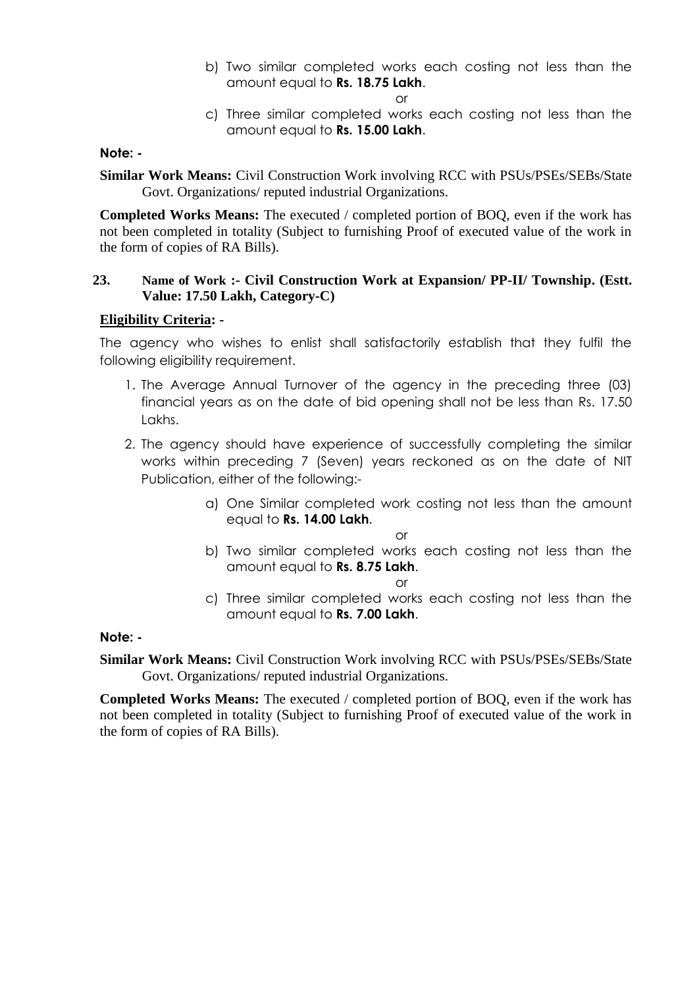b) Two similar completed works each costing not less than the amount equal to **Rs. 18.75 Lakh**.

or

c) Three similar completed works each costing not less than the amount equal to **Rs. 15.00 Lakh**.

#### **Note: -**

**Similar Work Means:** Civil Construction Work involving RCC with PSUs/PSEs/SEBs/State Govt. Organizations/ reputed industrial Organizations.

**Completed Works Means:** The executed / completed portion of BOQ, even if the work has not been completed in totality (Subject to furnishing Proof of executed value of the work in the form of copies of RA Bills).

#### **23. Name of Work :- Civil Construction Work at Expansion/ PP-II/ Township. (Estt. Value: 17.50 Lakh, Category-C)**

## **Eligibility Criteria: -**

The agency who wishes to enlist shall satisfactorily establish that they fulfil the following eligibility requirement.

- 1. The Average Annual Turnover of the agency in the preceding three (03) financial years as on the date of bid opening shall not be less than Rs. 17.50 Lakhs.
- 2. The agency should have experience of successfully completing the similar works within preceding 7 (Seven) years reckoned as on the date of NIT Publication, either of the following:
	- a) One Similar completed work costing not less than the amount equal to **Rs. 14.00 Lakh**.

or

b) Two similar completed works each costing not less than the amount equal to **Rs. 8.75 Lakh**.

or

c) Three similar completed works each costing not less than the amount equal to **Rs. 7.00 Lakh**.

## **Note: -**

**Similar Work Means:** Civil Construction Work involving RCC with PSUs/PSEs/SEBs/State Govt. Organizations/ reputed industrial Organizations.

**Completed Works Means:** The executed / completed portion of BOQ, even if the work has not been completed in totality (Subject to furnishing Proof of executed value of the work in the form of copies of RA Bills).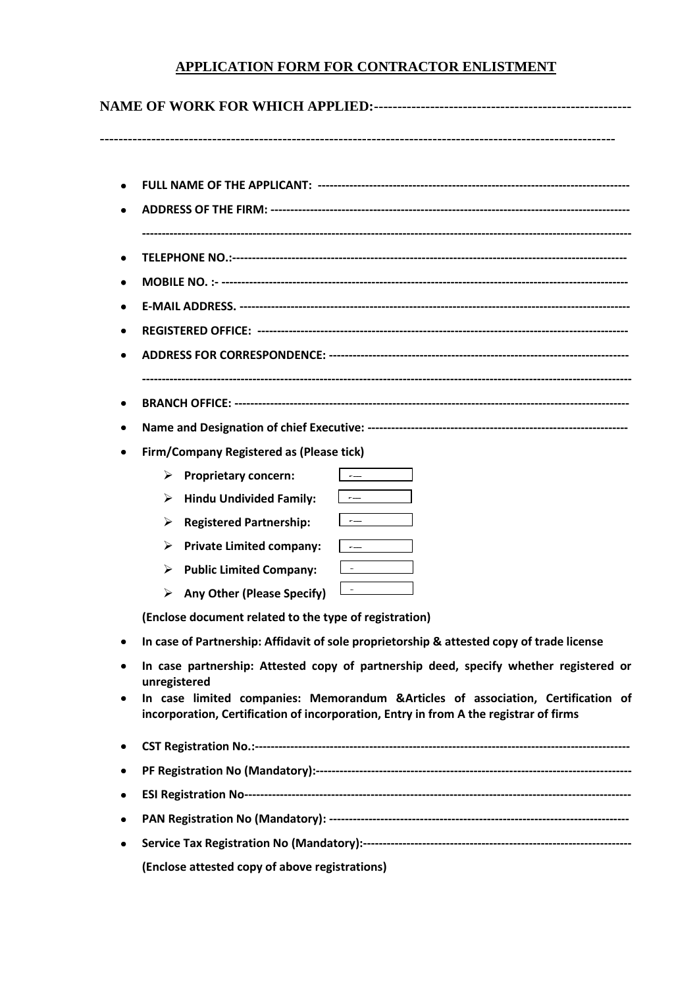## **APPLICATION FORM FOR CONTRACTOR ENLISTMENT**

# **NAME OF WORK FOR WHICH APPLIED:-------------------------------------------------------**

**--------------------------------------------------------------------------------------------------------------**

| ٠ |                                                                                                                                                                                                                                                                                                                                                                                                                                     |
|---|-------------------------------------------------------------------------------------------------------------------------------------------------------------------------------------------------------------------------------------------------------------------------------------------------------------------------------------------------------------------------------------------------------------------------------------|
|   |                                                                                                                                                                                                                                                                                                                                                                                                                                     |
|   |                                                                                                                                                                                                                                                                                                                                                                                                                                     |
|   |                                                                                                                                                                                                                                                                                                                                                                                                                                     |
|   |                                                                                                                                                                                                                                                                                                                                                                                                                                     |
| ٠ |                                                                                                                                                                                                                                                                                                                                                                                                                                     |
|   | <b>Firm/Company Registered as (Please tick)</b>                                                                                                                                                                                                                                                                                                                                                                                     |
|   | <b>Proprietary concern:</b><br>➤                                                                                                                                                                                                                                                                                                                                                                                                    |
|   | $\frac{1}{2} \frac{1}{2} \frac{1}{2} \frac{1}{2} \frac{1}{2} \frac{1}{2} \frac{1}{2} \frac{1}{2} \frac{1}{2} \frac{1}{2} \frac{1}{2} \frac{1}{2} \frac{1}{2} \frac{1}{2} \frac{1}{2} \frac{1}{2} \frac{1}{2} \frac{1}{2} \frac{1}{2} \frac{1}{2} \frac{1}{2} \frac{1}{2} \frac{1}{2} \frac{1}{2} \frac{1}{2} \frac{1}{2} \frac{1}{2} \frac{1}{2} \frac{1}{2} \frac{1}{2} \frac{1}{2} \frac{$<br><b>Hindu Undivided Family:</b><br>➤ |
|   | <b>Registered Partnership:</b><br>➤                                                                                                                                                                                                                                                                                                                                                                                                 |
|   | <b>Private Limited company:</b><br>≻<br>$\frac{1}{1-\alpha} \left( \frac{1}{1-\alpha} \right) = \frac{1}{1-\alpha} \left( \frac{1}{1-\alpha} \right)$                                                                                                                                                                                                                                                                               |
|   | $\frac{1}{1-\alpha} \left( \frac{1}{1-\alpha} \right) = \frac{1}{1-\alpha} \left( \frac{1}{1-\alpha} \right)$<br><b>Public Limited Company:</b><br>➤                                                                                                                                                                                                                                                                                |
|   | $\overline{a}$ and $\overline{a}$ and $\overline{a}$ and $\overline{a}$<br>$\triangleright$ Any Other (Please Specify)                                                                                                                                                                                                                                                                                                              |
|   | (Enclose document related to the type of registration)                                                                                                                                                                                                                                                                                                                                                                              |
|   | In case of Partnership: Affidavit of sole proprietorship & attested copy of trade license                                                                                                                                                                                                                                                                                                                                           |
|   | In case partnership: Attested copy of partnership deed, specify whether registered or<br>unregistered                                                                                                                                                                                                                                                                                                                               |
|   | In case limited companies: Memorandum &Articles of association, Certification of                                                                                                                                                                                                                                                                                                                                                    |
|   | incorporation, Certification of incorporation, Entry in from A the registrar of firms                                                                                                                                                                                                                                                                                                                                               |
|   |                                                                                                                                                                                                                                                                                                                                                                                                                                     |
| ٠ |                                                                                                                                                                                                                                                                                                                                                                                                                                     |
|   |                                                                                                                                                                                                                                                                                                                                                                                                                                     |
|   |                                                                                                                                                                                                                                                                                                                                                                                                                                     |
| ٠ |                                                                                                                                                                                                                                                                                                                                                                                                                                     |
|   | (Enclose attested copy of above registrations)                                                                                                                                                                                                                                                                                                                                                                                      |
|   |                                                                                                                                                                                                                                                                                                                                                                                                                                     |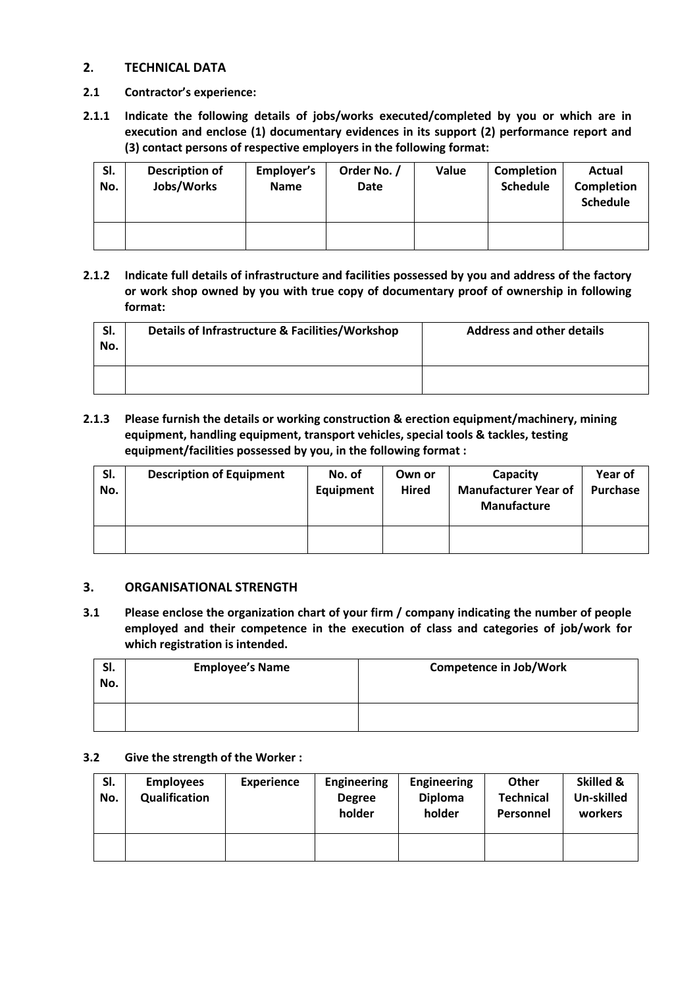#### **2. TECHNICAL DATA**

- **2.1 Contractor's experience:**
- **2.1.1 Indicate the following details of jobs/works executed/completed by you or which are in execution and enclose (1) documentary evidences in its support (2) performance report and (3) contact persons of respective employers in the following format:**

| SI.<br>No. | <b>Description of</b><br>Jobs/Works | Employer's<br><b>Name</b> | Order No. /<br><b>Date</b> | Value | Completion<br><b>Schedule</b> | Actual<br><b>Completion</b><br><b>Schedule</b> |
|------------|-------------------------------------|---------------------------|----------------------------|-------|-------------------------------|------------------------------------------------|
|            |                                     |                           |                            |       |                               |                                                |

**2.1.2 Indicate full details of infrastructure and facilities possessed by you and address of the factory or work shop owned by you with true copy of documentary proof of ownership in following format:**

| SI.<br>No. | Details of Infrastructure & Facilities/Workshop | <b>Address and other details</b> |
|------------|-------------------------------------------------|----------------------------------|
|            |                                                 |                                  |

**2.1.3 Please furnish the details or working construction & erection equipment/machinery, mining equipment, handling equipment, transport vehicles, special tools & tackles, testing equipment/facilities possessed by you, in the following format :**

| SI.<br>No. | <b>Description of Equipment</b> | No. of<br><b>Equipment</b> | Own or<br><b>Hired</b> | Capacity<br><b>Manufacturer Year of</b><br><b>Manufacture</b> | Year of<br><b>Purchase</b> |
|------------|---------------------------------|----------------------------|------------------------|---------------------------------------------------------------|----------------------------|
|            |                                 |                            |                        |                                                               |                            |

#### **3. ORGANISATIONAL STRENGTH**

**3.1 Please enclose the organization chart of your firm / company indicating the number of people employed and their competence in the execution of class and categories of job/work for which registration is intended.**

| SI.<br>No. | <b>Employee's Name</b> | <b>Competence in Job/Work</b> |
|------------|------------------------|-------------------------------|
|            |                        |                               |

#### **3.2 Give the strength of the Worker :**

| SI.<br>No. | <b>Employees</b><br>Qualification | <b>Experience</b> | <b>Engineering</b><br><b>Degree</b><br>holder | <b>Engineering</b><br><b>Diploma</b><br>holder | <b>Other</b><br><b>Technical</b><br>Personnel | Skilled &<br>Un-skilled<br>workers |
|------------|-----------------------------------|-------------------|-----------------------------------------------|------------------------------------------------|-----------------------------------------------|------------------------------------|
|            |                                   |                   |                                               |                                                |                                               |                                    |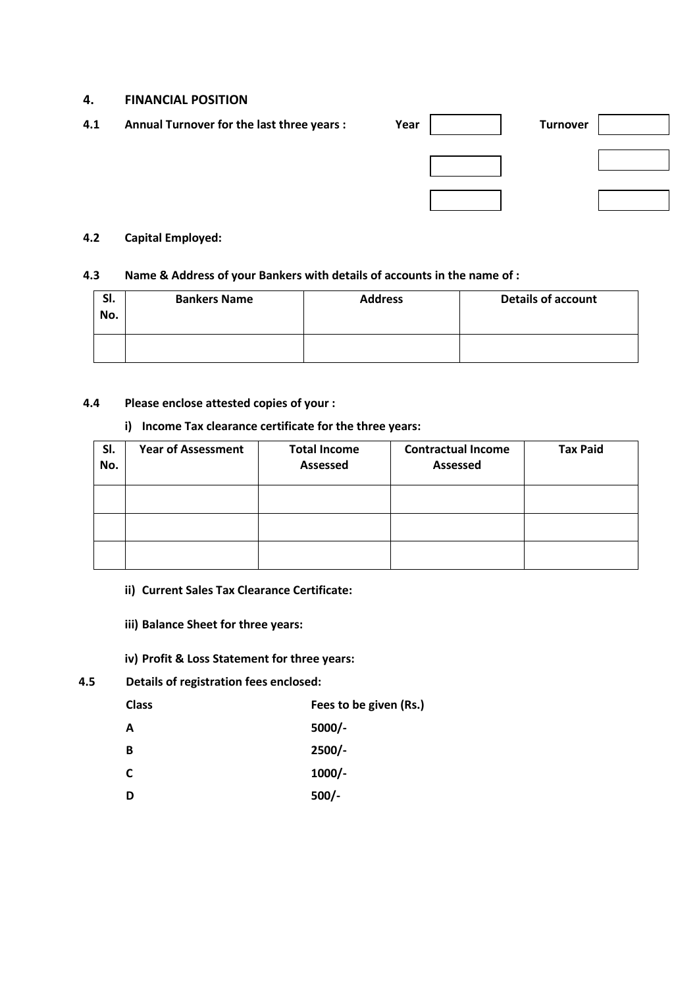#### **4. FINANCIAL POSITION**

| 4.1 | Annual Turnover for the last three years : | Year | <b>Turnover</b> |  |
|-----|--------------------------------------------|------|-----------------|--|
|     |                                            |      |                 |  |
|     |                                            |      |                 |  |
|     |                                            |      |                 |  |
|     |                                            |      |                 |  |
|     |                                            |      |                 |  |

#### **4.2 Capital Employed:**

#### **4.3 Name & Address of your Bankers with details of accounts in the name of :**

| SI.<br>No. | <b>Bankers Name</b> | <b>Address</b> | <b>Details of account</b> |
|------------|---------------------|----------------|---------------------------|
|            |                     |                |                           |

#### **4.4 Please enclose attested copies of your :**

#### **i) Income Tax clearance certificate for the three years:**

| SI.<br>No. | <b>Year of Assessment</b> | <b>Total Income</b><br><b>Assessed</b> | <b>Contractual Income</b><br><b>Assessed</b> | <b>Tax Paid</b> |
|------------|---------------------------|----------------------------------------|----------------------------------------------|-----------------|
|            |                           |                                        |                                              |                 |
|            |                           |                                        |                                              |                 |
|            |                           |                                        |                                              |                 |

#### **ii) Current Sales Tax Clearance Certificate:**

- **iii) Balance Sheet for three years:**
- **iv) Profit & Loss Statement for three years:**
- **4.5 Details of registration fees enclosed:**

| <b>Class</b> | Fees to be given (Rs.) |
|--------------|------------------------|
| A            | $5000/-$               |

- **B 2500/-**
- **C 1000/-**
- **D 500/-**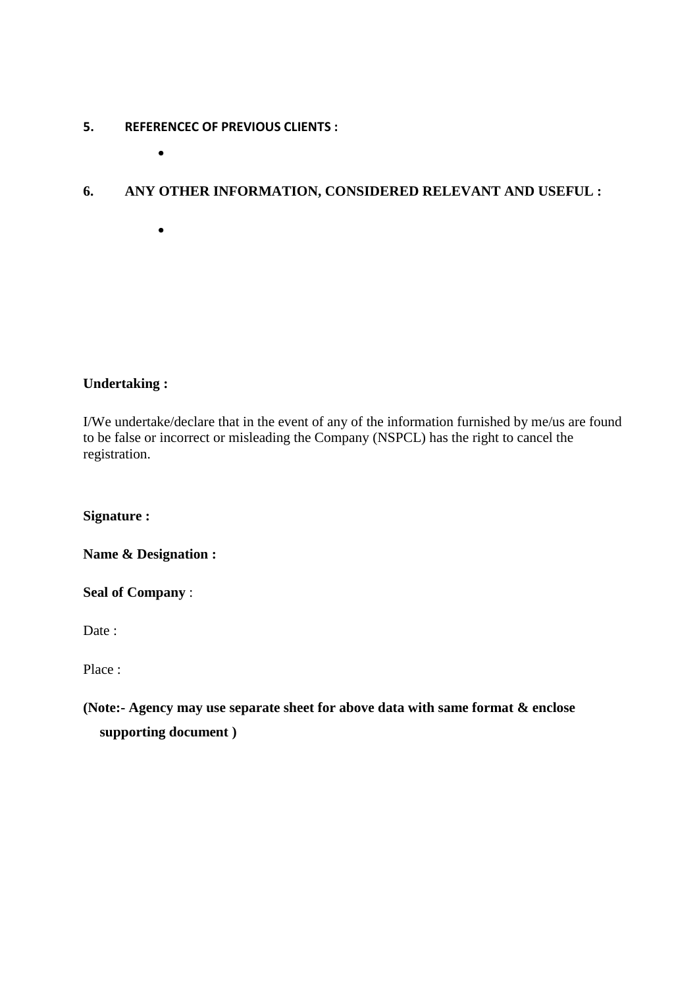## **5. REFERENCEC OF PREVIOUS CLIENTS :**

 $\bullet$ 

 $\bullet$ 

## **6. ANY OTHER INFORMATION, CONSIDERED RELEVANT AND USEFUL :**

## **Undertaking :**

I/We undertake/declare that in the event of any of the information furnished by me/us are found to be false or incorrect or misleading the Company (NSPCL) has the right to cancel the registration.

**Signature :**

**Name & Designation :**

**Seal of Company** :

Date:

Place :

**(Note:- Agency may use separate sheet for above data with same format & enclose supporting document )**